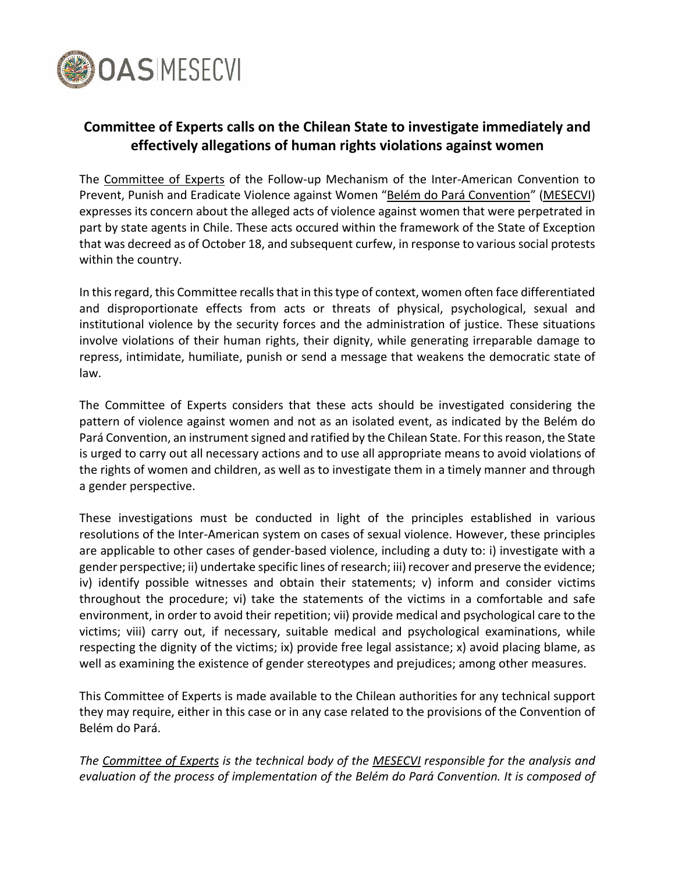

## **Committee of Experts calls on the Chilean State to investigate immediately and effectively allegations of human rights violations against women**

The [Committee](http://www.oas.org/en/mesecvi/experts.asp) of Experts of the Follow-up Mechanism of the Inter-American Convention to Prevent, Punish and Eradicate Violence against Women "Belém do Pará [Convention](http://www.oas.org/en/mesecvi/docs/BelemDoPara-ENGLISH.pdf)" [\(MESECVI\)](http://www.oas.org/en/mesecvi/about.asp) expresses its concern about the alleged acts of violence against women that were perpetrated in part by state agents in Chile. These acts occured within the framework of the State of Exception that was decreed as of October 18, and subsequent curfew, in response to various social protests within the country.

In this regard, this Committee recalls that in this type of context, women often face differentiated and disproportionate effects from acts or threats of physical, psychological, sexual and institutional violence by the security forces and the administration of justice. These situations involve violations of their human rights, their dignity, while generating irreparable damage to repress, intimidate, humiliate, punish or send a message that weakens the democratic state of law.

The Committee of Experts considers that these acts should be investigated considering the pattern of violence against women and not as an isolated event, as indicated by the Belém do Pará Convention, an instrument signed and ratified by the Chilean State. For this reason, the State is urged to carry out all necessary actions and to use all appropriate means to avoid violations of the rights of women and children, as well as to investigate them in a timely manner and through a gender perspective.

These investigations must be conducted in light of the principles established in various resolutions of the Inter-American system on cases of sexual violence. However, these principles are applicable to other cases of gender-based violence, including a duty to: i) investigate with a gender perspective; ii) undertake specific lines of research; iii) recover and preserve the evidence; iv) identify possible witnesses and obtain their statements; v) inform and consider victims throughout the procedure; vi) take the statements of the victims in a comfortable and safe environment, in order to avoid their repetition; vii) provide medical and psychological care to the victims; viii) carry out, if necessary, suitable medical and psychological examinations, while respecting the dignity of the victims; ix) provide free legal assistance; x) avoid placing blame, as well as examining the existence of gender stereotypes and prejudices; among other measures.

This Committee of Experts is made available to the Chilean authorities for any technical support they may require, either in this case or in any case related to the provisions of the Convention of Belém do Pará.

*The [Committee](http://www.oas.org/en/mesecvi/experts.asp) of Experts is the technical body of the [MESECVI](http://www.oas.org/en/mesecvi/about.asp) responsible for the analysis and evaluation of the process of implementation of the Belém do Pará Convention. It is composed of*